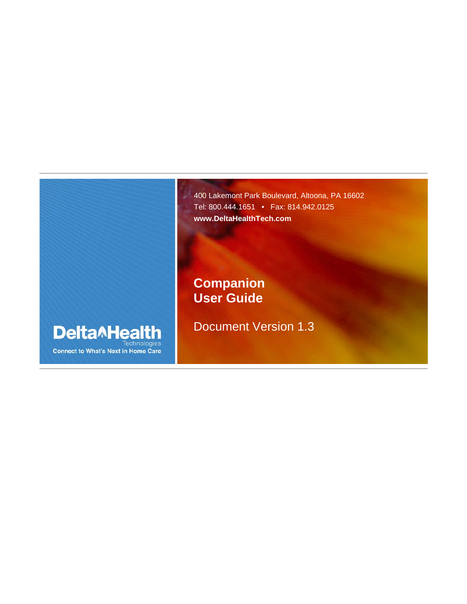#### 400 Lakemont Park Boulevard, Altoona, PA 16602 Tel: 800.444.1651 • Fax: 814.942.0125 **www.DeltaHealthTech.com**

# **Companion User Guide**

Document Version 1.3

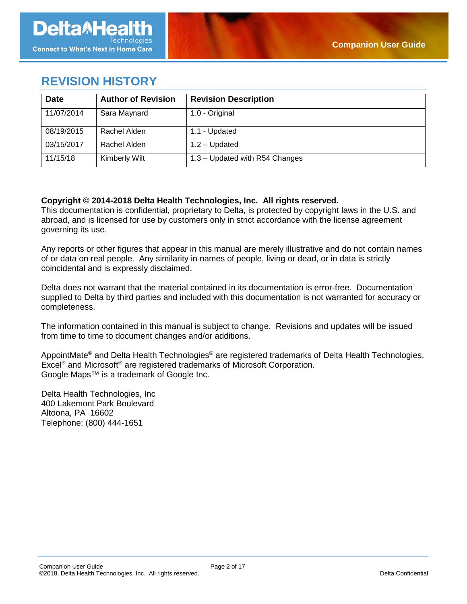## **REVISION HISTORY**

| <b>Date</b> | <b>Author of Revision</b> | <b>Revision Description</b>    |
|-------------|---------------------------|--------------------------------|
| 11/07/2014  | Sara Maynard              | 1.0 - Original                 |
| 08/19/2015  | Rachel Alden              | 1.1 - Updated                  |
| 03/15/2017  | Rachel Alden              | $1.2 -$ Updated                |
| 11/15/18    | Kimberly Wilt             | 1.3 – Updated with R54 Changes |

#### **Copyright © 2014-2018 Delta Health Technologies, Inc. All rights reserved.**

This documentation is confidential, proprietary to Delta, is protected by copyright laws in the U.S. and abroad, and is licensed for use by customers only in strict accordance with the license agreement governing its use.

Any reports or other figures that appear in this manual are merely illustrative and do not contain names of or data on real people. Any similarity in names of people, living or dead, or in data is strictly coincidental and is expressly disclaimed.

Delta does not warrant that the material contained in its documentation is error-free. Documentation supplied to Delta by third parties and included with this documentation is not warranted for accuracy or completeness.

The information contained in this manual is subject to change. Revisions and updates will be issued from time to time to document changes and/or additions.

AppointMate<sup>®</sup> and Delta Health Technologies<sup>®</sup> are registered trademarks of Delta Health Technologies. Excel® and Microsoft® are registered trademarks of Microsoft Corporation. Google Maps™ is a trademark of Google Inc.

Delta Health Technologies, Inc 400 Lakemont Park Boulevard Altoona, PA 16602 Telephone: (800) 444-1651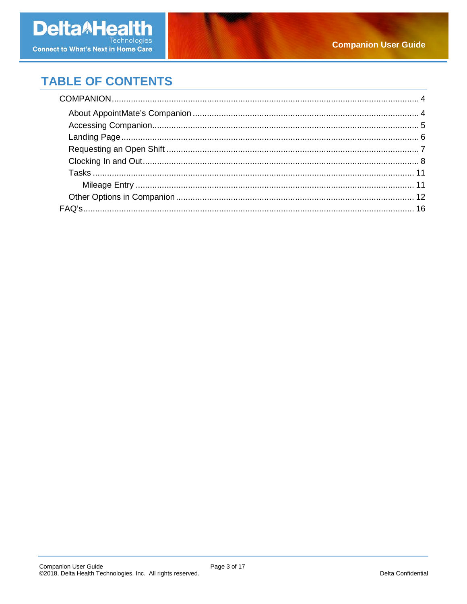# **TABLE OF CONTENTS**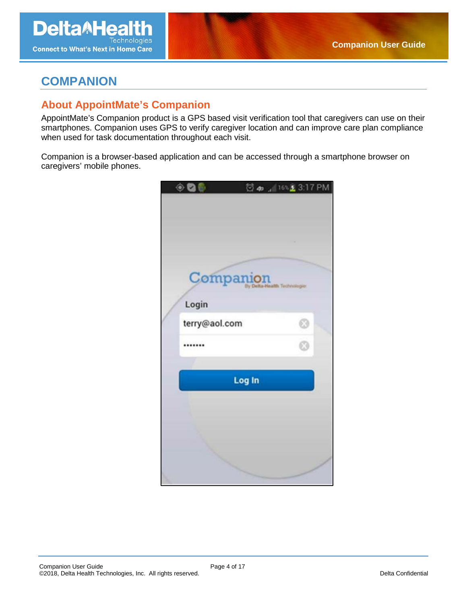## <span id="page-3-0"></span>**COMPANION**

### <span id="page-3-1"></span>**About AppointMate's Companion**

AppointMate's Companion product is a GPS based visit verification tool that caregivers can use on their smartphones. Companion uses GPS to verify caregiver location and can improve care plan compliance when used for task documentation throughout each visit.

Companion is a browser-based application and can be accessed through a smartphone browser on caregivers' mobile phones.

| $\circ$ as    | ◎ 40 al 16 ± 3:17 PM |
|---------------|----------------------|
|               |                      |
|               |                      |
| Companion     |                      |
| Login         |                      |
| terry@aol.com |                      |
|               |                      |
| Log In        |                      |
|               |                      |
|               |                      |
|               |                      |
|               |                      |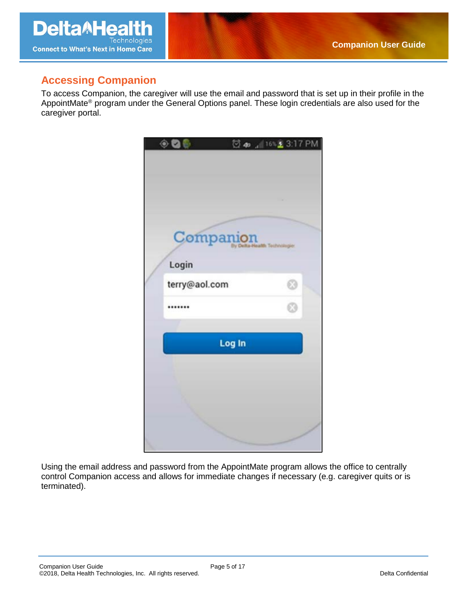## <span id="page-4-0"></span>**Accessing Companion**

To access Companion, the caregiver will use the email and password that is set up in their profile in the AppointMate® program under the General Options panel. These login credentials are also used for the caregiver portal.



Using the email address and password from the AppointMate program allows the office to centrally control Companion access and allows for immediate changes if necessary (e.g. caregiver quits or is terminated).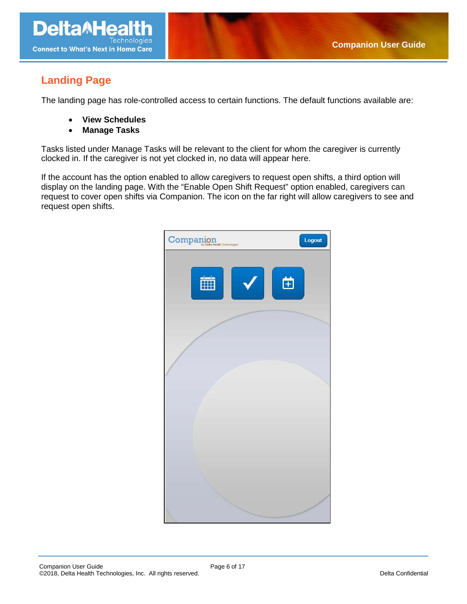

## <span id="page-5-0"></span>**Landing Page**

The landing page has role-controlled access to certain functions. The default functions available are:

- **View Schedules**
- **Manage Tasks**

Tasks listed under Manage Tasks will be relevant to the client for whom the caregiver is currently clocked in. If the caregiver is not yet clocked in, no data will appear here.

If the account has the option enabled to allow caregivers to request open shifts, a third option will display on the landing page. With the "Enable Open Shift Request" option enabled, caregivers can request to cover open shifts via Companion. The icon on the far right will allow caregivers to see and request open shifts.

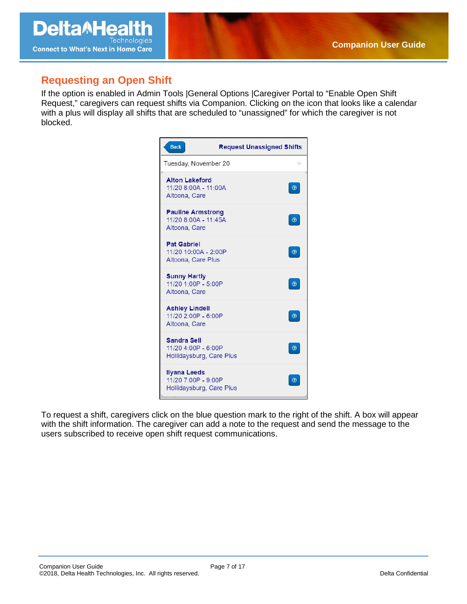## <span id="page-6-0"></span>**Requesting an Open Shift**

If the option is enabled in Admin Tools |General Options |Caregiver Portal to "Enable Open Shift Request," caregivers can request shifts via Companion. Clicking on the icon that looks like a calendar with a plus will display all shifts that are scheduled to "unassigned" for which the caregiver is not blocked.



To request a shift, caregivers click on the blue question mark to the right of the shift. A box will appear with the shift information. The caregiver can add a note to the request and send the message to the users subscribed to receive open shift request communications.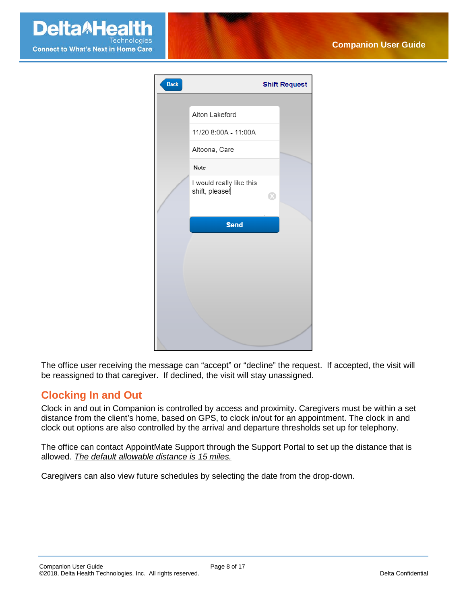

The office user receiving the message can "accept" or "decline" the request. If accepted, the visit will be reassigned to that caregiver. If declined, the visit will stay unassigned.

## <span id="page-7-0"></span>**Clocking In and Out**

Clock in and out in Companion is controlled by access and proximity. Caregivers must be within a set distance from the client's home, based on GPS, to clock in/out for an appointment. The clock in and clock out options are also controlled by the arrival and departure thresholds set up for telephony.

The office can contact AppointMate Support through the Support Portal to set up the distance that is allowed. *The default allowable distance is 15 miles.*

Caregivers can also view future schedules by selecting the date from the drop-down.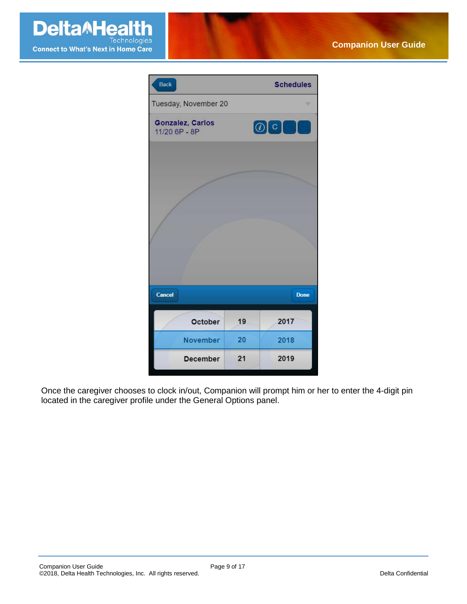



Once the caregiver chooses to clock in/out, Companion will prompt him or her to enter the 4-digit pin located in the caregiver profile under the General Options panel.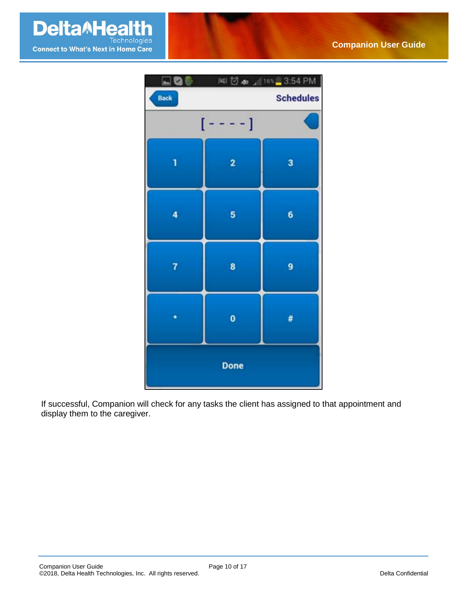

| -96         |                         | 图 @ 4 16 3:54 PM |  |
|-------------|-------------------------|------------------|--|
| Back        |                         | <b>Schedules</b> |  |
|             | - - - - ]               |                  |  |
| ٦           | $\overline{\mathbf{2}}$ | 3                |  |
| 4           | 5                       | 6                |  |
|             | 8                       | 9                |  |
|             | 0                       | #                |  |
| <b>Done</b> |                         |                  |  |

If successful, Companion will check for any tasks the client has assigned to that appointment and display them to the caregiver.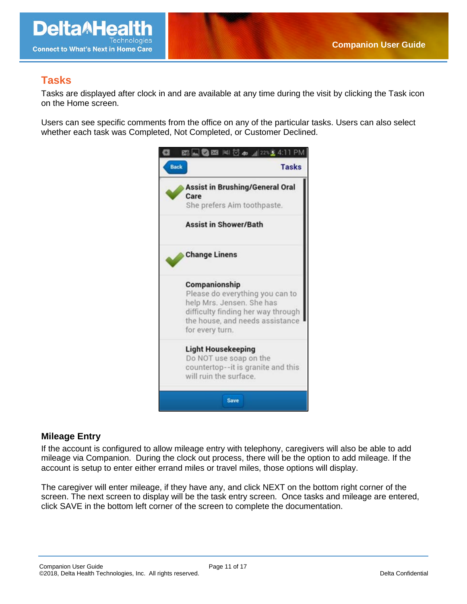

## <span id="page-10-0"></span>**Tasks**

Tasks are displayed after clock in and are available at any time during the visit by clicking the Task icon on the Home screen.

Users can see specific comments from the office on any of the particular tasks. Users can also select whether each task was Completed, Not Completed, or Customer Declined.



#### <span id="page-10-1"></span>**Mileage Entry**

If the account is configured to allow mileage entry with telephony, caregivers will also be able to add mileage via Companion. During the clock out process, there will be the option to add mileage. If the account is setup to enter either errand miles or travel miles, those options will display.

The caregiver will enter mileage, if they have any, and click NEXT on the bottom right corner of the screen. The next screen to display will be the task entry screen. Once tasks and mileage are entered, click SAVE in the bottom left corner of the screen to complete the documentation.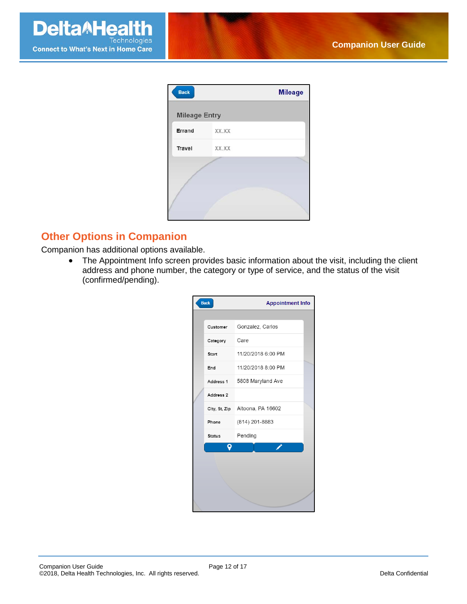| <b>Back</b>          |       | <b>Mileage</b> |
|----------------------|-------|----------------|
| <b>Mileage Entry</b> |       |                |
| Errand               | XX.XX |                |
| Travel               | XX.XX |                |
|                      |       |                |
|                      |       |                |
|                      |       |                |
|                      |       |                |

## <span id="page-11-0"></span>**Other Options in Companion**

Companion has additional options available.

• The Appointment Info screen provides basic information about the visit, including the client address and phone number, the category or type of service, and the status of the visit (confirmed/pending).

| <b>Back</b><br><b>Appointment Info</b> |                                 |  |
|----------------------------------------|---------------------------------|--|
|                                        |                                 |  |
| Customer                               | Gonzalez, Carlos                |  |
| Category                               | Care                            |  |
| Start                                  | 11/20/2018 6:00 PM              |  |
| End                                    | 11/20/2018 8:00 PM              |  |
| Address 1                              | 5808 Maryland Ave               |  |
| Address 2                              |                                 |  |
|                                        | City, St, Zip Altoona, PA 16602 |  |
| Phone                                  | (814) 201-8883                  |  |
| <b>Status</b>                          | Pending                         |  |
|                                        |                                 |  |
|                                        |                                 |  |
|                                        |                                 |  |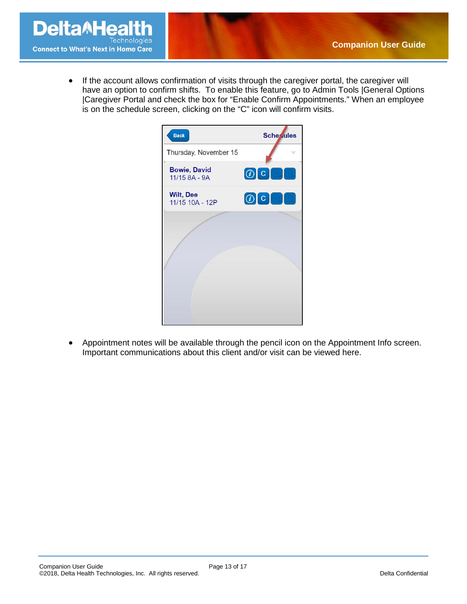• If the account allows confirmation of visits through the caregiver portal, the caregiver will have an option to confirm shifts. To enable this feature, go to Admin Tools |General Options |Caregiver Portal and check the box for "Enable Confirm Appointments." When an employee is on the schedule screen, clicking on the "C" icon will confirm visits.



• Appointment notes will be available through the pencil icon on the Appointment Info screen. Important communications about this client and/or visit can be viewed here.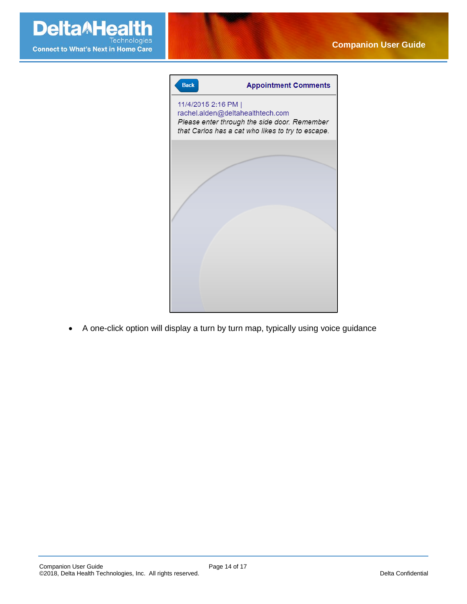

• A one-click option will display a turn by turn map, typically using voice guidance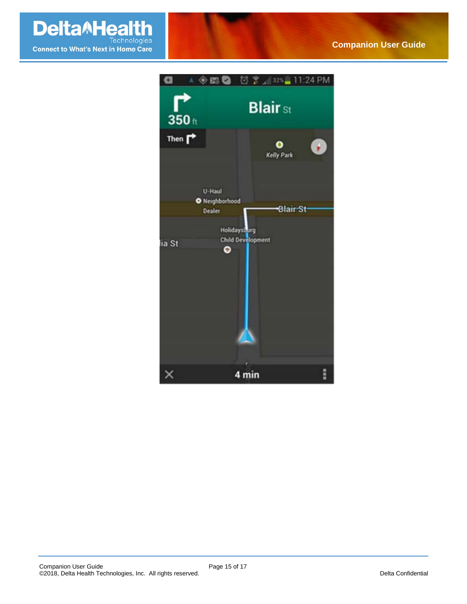

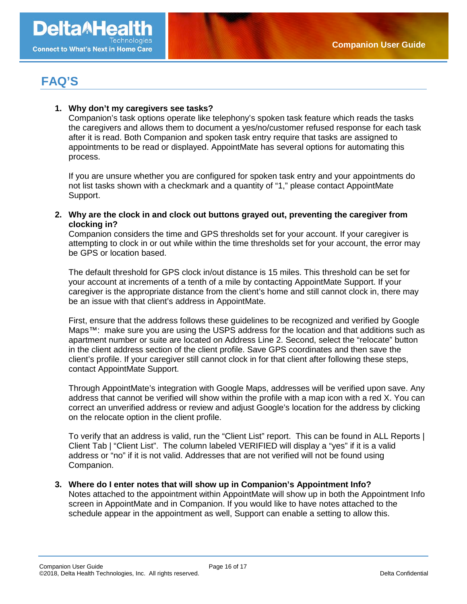# <span id="page-15-0"></span>**FAQ'S**

#### **1. Why don't my caregivers see tasks?**

Companion's task options operate like telephony's spoken task feature which reads the tasks the caregivers and allows them to document a yes/no/customer refused response for each task after it is read. Both Companion and spoken task entry require that tasks are assigned to appointments to be read or displayed. AppointMate has several options for automating this process.

If you are unsure whether you are configured for spoken task entry and your appointments do not list tasks shown with a checkmark and a quantity of "1," please contact AppointMate Support.

**2. Why are the clock in and clock out buttons grayed out, preventing the caregiver from clocking in?**

Companion considers the time and GPS thresholds set for your account. If your caregiver is attempting to clock in or out while within the time thresholds set for your account, the error may be GPS or location based.

The default threshold for GPS clock in/out distance is 15 miles. This threshold can be set for your account at increments of a tenth of a mile by contacting AppointMate Support. If your caregiver is the appropriate distance from the client's home and still cannot clock in, there may be an issue with that client's address in AppointMate.

First, ensure that the address follows these guidelines to be recognized and verified by Google Maps<sup>™</sup>: make sure you are using the USPS address for the location and that additions such as apartment number or suite are located on Address Line 2. Second, select the "relocate" button in the client address section of the client profile. Save GPS coordinates and then save the client's profile. If your caregiver still cannot clock in for that client after following these steps, contact AppointMate Support.

Through AppointMate's integration with Google Maps, addresses will be verified upon save. Any address that cannot be verified will show within the profile with a map icon with a red X. You can correct an unverified address or review and adjust Google's location for the address by clicking on the relocate option in the client profile.

To verify that an address is valid, run the "Client List" report. This can be found in ALL Reports | Client Tab | "Client List". The column labeled VERIFIED will display a "yes" if it is a valid address or "no" if it is not valid. Addresses that are not verified will not be found using Companion.

**3. Where do I enter notes that will show up in Companion's Appointment Info?**

Notes attached to the appointment within AppointMate will show up in both the Appointment Info screen in AppointMate and in Companion. If you would like to have notes attached to the schedule appear in the appointment as well, Support can enable a setting to allow this.